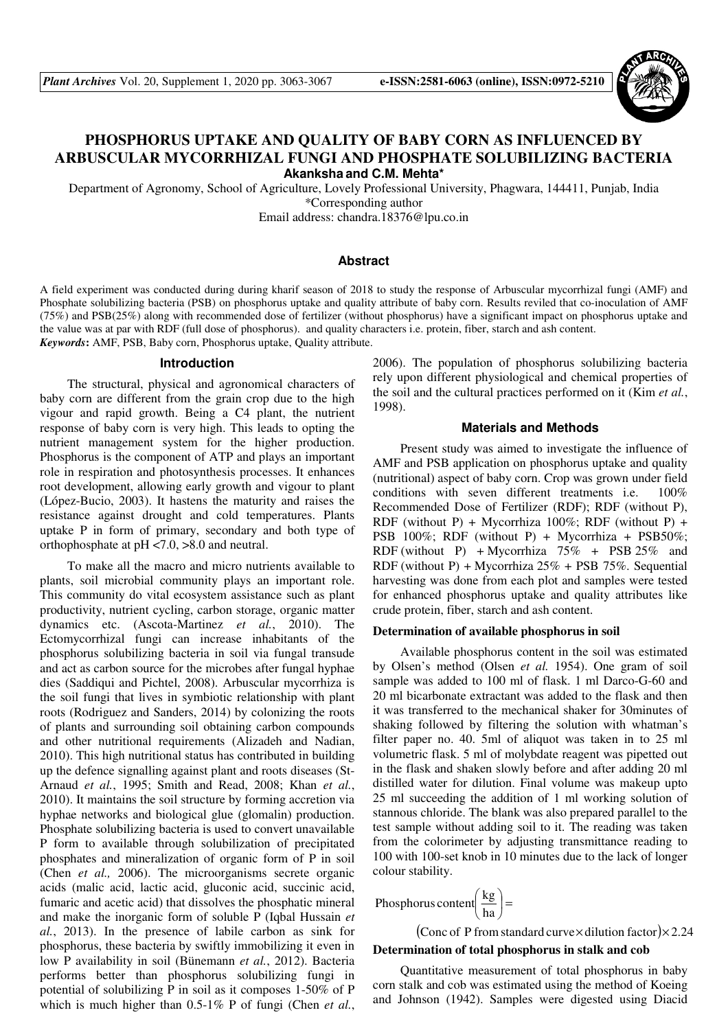

# **PHOSPHORUS UPTAKE AND QUALITY OF BABY CORN AS INFLUENCED BY ARBUSCULAR MYCORRHIZAL FUNGI AND PHOSPHATE SOLUBILIZING BACTERIA Akanksha and C.M. Mehta\***

Department of Agronomy, School of Agriculture, Lovely Professional University, Phagwara, 144411, Punjab, India \*Corresponding author

Email address: chandra.18376@lpu.co.in

### **Abstract**

A field experiment was conducted during during kharif season of 2018 to study the response of Arbuscular mycorrhizal fungi (AMF) and Phosphate solubilizing bacteria (PSB) on phosphorus uptake and quality attribute of baby corn. Results reviled that co-inoculation of AMF (75%) and PSB(25%) along with recommended dose of fertilizer (without phosphorus) have a significant impact on phosphorus uptake and the value was at par with RDF (full dose of phosphorus). and quality characters i.e. protein, fiber, starch and ash content. *Keywords***:** AMF, PSB, Baby corn, Phosphorus uptake, Quality attribute.

#### **Introduction**

The structural, physical and agronomical characters of baby corn are different from the grain crop due to the high vigour and rapid growth. Being a C4 plant, the nutrient response of baby corn is very high. This leads to opting the nutrient management system for the higher production. Phosphorus is the component of ATP and plays an important role in respiration and photosynthesis processes. It enhances root development, allowing early growth and vigour to plant (López-Bucio, 2003). It hastens the maturity and raises the resistance against drought and cold temperatures. Plants uptake P in form of primary, secondary and both type of orthophosphate at pH <7.0, >8.0 and neutral.

To make all the macro and micro nutrients available to plants, soil microbial community plays an important role. This community do vital ecosystem assistance such as plant productivity, nutrient cycling, carbon storage, organic matter dynamics etc. (Ascota-Martinez *et al.*, 2010). The Ectomycorrhizal fungi can increase inhabitants of the phosphorus solubilizing bacteria in soil via fungal transude and act as carbon source for the microbes after fungal hyphae dies (Saddiqui and Pichtel, 2008). Arbuscular mycorrhiza is the soil fungi that lives in symbiotic relationship with plant roots (Rodriguez and Sanders, 2014) by colonizing the roots of plants and surrounding soil obtaining carbon compounds and other nutritional requirements (Alizadeh and Nadian, 2010). This high nutritional status has contributed in building up the defence signalling against plant and roots diseases (St-Arnaud *et al.*, 1995; Smith and Read, 2008; Khan *et al.*, 2010). It maintains the soil structure by forming accretion via hyphae networks and biological glue (glomalin) production. Phosphate solubilizing bacteria is used to convert unavailable P form to available through solubilization of precipitated phosphates and mineralization of organic form of P in soil (Chen *et al.,* 2006). The microorganisms secrete organic acids (malic acid, lactic acid, gluconic acid, succinic acid, fumaric and acetic acid) that dissolves the phosphatic mineral and make the inorganic form of soluble P (Iqbal Hussain *et al.*, 2013). In the presence of labile carbon as sink for phosphorus, these bacteria by swiftly immobilizing it even in low P availability in soil (Bünemann *et al.*, 2012). Bacteria performs better than phosphorus solubilizing fungi in potential of solubilizing P in soil as it composes 1-50% of P which is much higher than 0.5-1% P of fungi (Chen *et al.*,

2006). The population of phosphorus solubilizing bacteria rely upon different physiological and chemical properties of the soil and the cultural practices performed on it (Kim *et al.*, 1998).

### **Materials and Methods**

Present study was aimed to investigate the influence of AMF and PSB application on phosphorus uptake and quality (nutritional) aspect of baby corn. Crop was grown under field conditions with seven different treatments i.e. 100% Recommended Dose of Fertilizer (RDF); RDF (without P), RDF (without P) + Mycorrhiza 100%; RDF (without P) + PSB 100%; RDF (without P) + Mycorrhiza + PSB50%; RDF (without P) + Mycorrhiza  $75\%$  + PSB 25% and RDF (without P) + Mycorrhiza  $25\%$  + PSB 75%. Sequential harvesting was done from each plot and samples were tested for enhanced phosphorus uptake and quality attributes like crude protein, fiber, starch and ash content.

#### **Determination of available phosphorus in soil**

Available phosphorus content in the soil was estimated by Olsen's method (Olsen *et al.* 1954). One gram of soil sample was added to 100 ml of flask. 1 ml Darco-G-60 and 20 ml bicarbonate extractant was added to the flask and then it was transferred to the mechanical shaker for 30minutes of shaking followed by filtering the solution with whatman's filter paper no. 40. 5ml of aliquot was taken in to 25 ml volumetric flask. 5 ml of molybdate reagent was pipetted out in the flask and shaken slowly before and after adding 20 ml distilled water for dilution. Final volume was makeup upto 25 ml succeeding the addition of 1 ml working solution of stannous chloride. The blank was also prepared parallel to the test sample without adding soil to it. The reading was taken from the colorimeter by adjusting transmittance reading to 100 with 100-set knob in 10 minutes due to the lack of longer colour stability.

$$
Phosphorus content \left(\frac{kg}{ha}\right) =
$$

(Conc of P from standard curve  $\times$  dilution factor) $\times$  2.24 **Determination of total phosphorus in stalk and cob** 

Quantitative measurement of total phosphorus in baby corn stalk and cob was estimated using the method of Koeing and Johnson (1942). Samples were digested using Diacid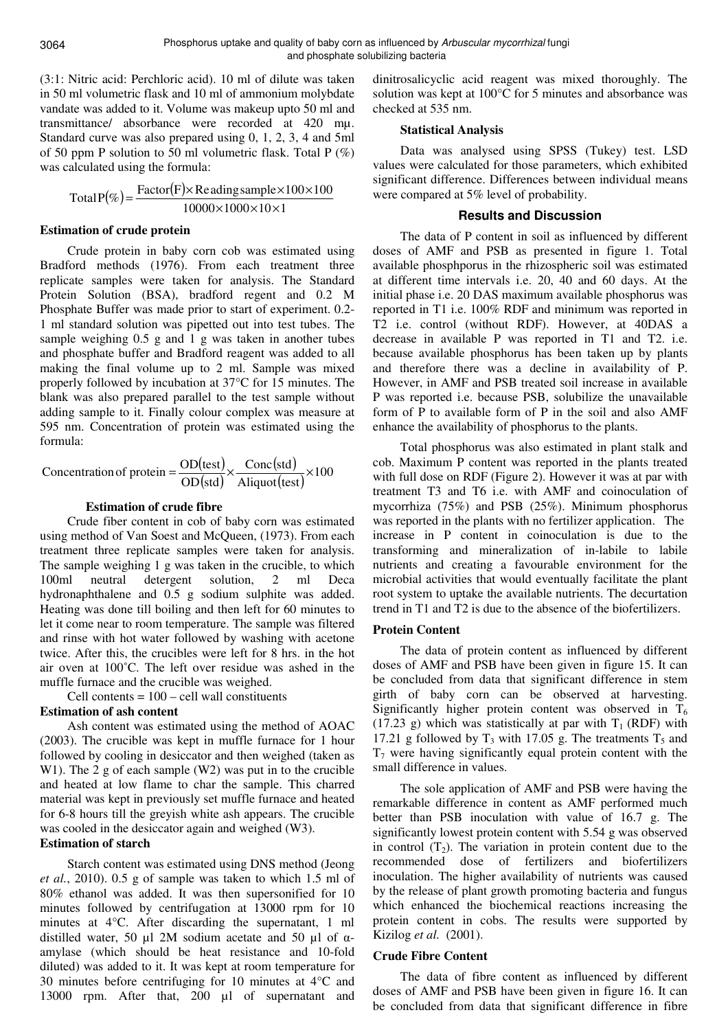(3:1: Nitric acid: Perchloric acid). 10 ml of dilute was taken in 50 ml volumetric flask and 10 ml of ammonium molybdate vandate was added to it. Volume was makeup upto 50 ml and transmittance/ absorbance were recorded at 420 mµ. Standard curve was also prepared using 0, 1, 2, 3, 4 and 5ml of 50 ppm P solution to 50 ml volumetric flask. Total P (%) was calculated using the formula:

$$
TotalP(\%) = \frac{Factor(F) \times Re \,ading \, sample \times 100 \times 100}{10000 \times 1000 \times 10 \times 1}
$$

### **Estimation of crude protein**

Crude protein in baby corn cob was estimated using Bradford methods (1976). From each treatment three replicate samples were taken for analysis. The Standard Protein Solution (BSA), bradford regent and 0.2 M Phosphate Buffer was made prior to start of experiment. 0.2- 1 ml standard solution was pipetted out into test tubes. The sample weighing 0.5 g and 1 g was taken in another tubes and phosphate buffer and Bradford reagent was added to all making the final volume up to 2 ml. Sample was mixed properly followed by incubation at 37°C for 15 minutes. The blank was also prepared parallel to the test sample without adding sample to it. Finally colour complex was measure at 595 nm. Concentration of protein was estimated using the formula:

$$
Concentration of protein = \frac{OD(test)}{OD(stat)} \times \frac{Conc(std)}{Aliquot(test)} \times 100
$$

# **Estimation of crude fibre**

Crude fiber content in cob of baby corn was estimated using method of Van Soest and McQueen, (1973). From each treatment three replicate samples were taken for analysis. The sample weighing 1 g was taken in the crucible, to which 100ml neutral detergent solution, 2 ml Deca hydronaphthalene and 0.5 g sodium sulphite was added. Heating was done till boiling and then left for 60 minutes to let it come near to room temperature. The sample was filtered and rinse with hot water followed by washing with acetone twice. After this, the crucibles were left for 8 hrs. in the hot air oven at 100˚C. The left over residue was ashed in the muffle furnace and the crucible was weighed.

Cell contents  $= 100 -$  cell wall constituents

# **Estimation of ash content**

Ash content was estimated using the method of AOAC (2003). The crucible was kept in muffle furnace for 1 hour followed by cooling in desiccator and then weighed (taken as W1). The 2 g of each sample (W2) was put in to the crucible and heated at low flame to char the sample. This charred material was kept in previously set muffle furnace and heated for 6-8 hours till the greyish white ash appears. The crucible was cooled in the desiccator again and weighed (W3).

# **Estimation of starch**

Starch content was estimated using DNS method (Jeong *et al.*, 2010). 0.5 g of sample was taken to which 1.5 ml of 80% ethanol was added. It was then supersonified for 10 minutes followed by centrifugation at 13000 rpm for 10 minutes at 4°C. After discarding the supernatant, 1 ml distilled water, 50 µl 2M sodium acetate and 50 µl of  $\alpha$ amylase (which should be heat resistance and 10-fold diluted) was added to it. It was kept at room temperature for 30 minutes before centrifuging for 10 minutes at 4°C and 13000 rpm. After that, 200 µl of supernatant and

dinitrosalicyclic acid reagent was mixed thoroughly. The solution was kept at 100°C for 5 minutes and absorbance was checked at 535 nm.

## **Statistical Analysis**

Data was analysed using SPSS (Tukey) test. LSD values were calculated for those parameters, which exhibited significant difference. Differences between individual means were compared at 5% level of probability.

# **Results and Discussion**

The data of P content in soil as influenced by different doses of AMF and PSB as presented in figure 1. Total available phosphporus in the rhizospheric soil was estimated at different time intervals i.e. 20, 40 and 60 days. At the initial phase i.e. 20 DAS maximum available phosphorus was reported in T1 i.e. 100% RDF and minimum was reported in T2 i.e. control (without RDF). However, at 40DAS a decrease in available P was reported in T1 and T2. i.e. because available phosphorus has been taken up by plants and therefore there was a decline in availability of P. However, in AMF and PSB treated soil increase in available P was reported i.e. because PSB, solubilize the unavailable form of P to available form of P in the soil and also AMF enhance the availability of phosphorus to the plants.

Total phosphorus was also estimated in plant stalk and cob. Maximum P content was reported in the plants treated with full dose on RDF (Figure 2). However it was at par with treatment T3 and T6 i.e. with AMF and coinoculation of mycorrhiza (75%) and PSB (25%). Minimum phosphorus was reported in the plants with no fertilizer application. The increase in P content in coinoculation is due to the transforming and mineralization of in-labile to labile nutrients and creating a favourable environment for the microbial activities that would eventually facilitate the plant root system to uptake the available nutrients. The decurtation trend in T1 and T2 is due to the absence of the biofertilizers.

# **Protein Content**

The data of protein content as influenced by different doses of AMF and PSB have been given in figure 15. It can be concluded from data that significant difference in stem girth of baby corn can be observed at harvesting. Significantly higher protein content was observed in  $T_6$  $(17.23 \text{ g})$  which was statistically at par with T<sub>1</sub> (RDF) with 17.21 g followed by  $T_3$  with 17.05 g. The treatments  $T_5$  and  $T_7$  were having significantly equal protein content with the small difference in values.

The sole application of AMF and PSB were having the remarkable difference in content as AMF performed much better than PSB inoculation with value of 16.7 g. The significantly lowest protein content with 5.54 g was observed in control  $(T_2)$ . The variation in protein content due to the recommended dose of fertilizers and biofertilizers inoculation. The higher availability of nutrients was caused by the release of plant growth promoting bacteria and fungus which enhanced the biochemical reactions increasing the protein content in cobs. The results were supported by Kizilog *et al.* (2001).

# **Crude Fibre Content**

The data of fibre content as influenced by different doses of AMF and PSB have been given in figure 16. It can be concluded from data that significant difference in fibre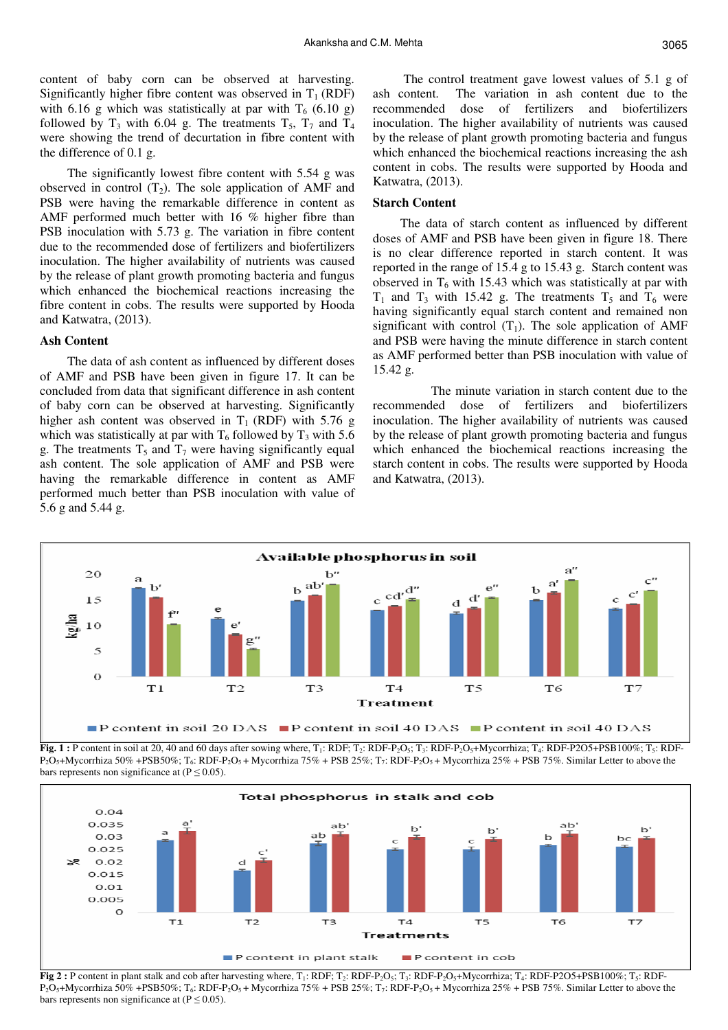content of baby corn can be observed at harvesting. Significantly higher fibre content was observed in  $T_1$  (RDF) with 6.16 g which was statistically at par with  $T_6$  (6.10 g) followed by  $T_3$  with 6.04 g. The treatments  $T_5$ ,  $T_7$  and  $T_4$ were showing the trend of decurtation in fibre content with the difference of 0.1 g.

The significantly lowest fibre content with 5.54 g was observed in control  $(T_2)$ . The sole application of AMF and PSB were having the remarkable difference in content as AMF performed much better with 16 % higher fibre than PSB inoculation with 5.73 g. The variation in fibre content due to the recommended dose of fertilizers and biofertilizers inoculation. The higher availability of nutrients was caused by the release of plant growth promoting bacteria and fungus which enhanced the biochemical reactions increasing the fibre content in cobs. The results were supported by Hooda and Katwatra, (2013).

# **Ash Content**

The data of ash content as influenced by different doses of AMF and PSB have been given in figure 17. It can be concluded from data that significant difference in ash content of baby corn can be observed at harvesting. Significantly higher ash content was observed in  $T_1$  (RDF) with 5.76 g which was statistically at par with  $T_6$  followed by  $T_3$  with 5.6 g. The treatments  $T_5$  and  $T_7$  were having significantly equal ash content. The sole application of AMF and PSB were having the remarkable difference in content as AMF performed much better than PSB inoculation with value of 5.6 g and 5.44 g.

 The control treatment gave lowest values of 5.1 g of ash content. The variation in ash content due to the recommended dose of fertilizers and biofertilizers inoculation. The higher availability of nutrients was caused by the release of plant growth promoting bacteria and fungus which enhanced the biochemical reactions increasing the ash content in cobs. The results were supported by Hooda and Katwatra, (2013).

#### **Starch Content**

The data of starch content as influenced by different doses of AMF and PSB have been given in figure 18. There is no clear difference reported in starch content. It was reported in the range of 15.4 g to 15.43 g. Starch content was observed in  $T_6$  with 15.43 which was statistically at par with  $T_1$  and  $T_3$  with 15.42 g. The treatments  $T_5$  and  $T_6$  were having significantly equal starch content and remained non significant with control  $(T_1)$ . The sole application of AMF and PSB were having the minute difference in starch content as AMF performed better than PSB inoculation with value of 15.42 g.

 The minute variation in starch content due to the recommended dose of fertilizers and biofertilizers inoculation. The higher availability of nutrients was caused by the release of plant growth promoting bacteria and fungus which enhanced the biochemical reactions increasing the starch content in cobs. The results were supported by Hooda and Katwatra, (2013).



P<sub>2</sub>O<sub>5</sub>+Mycorrhiza 50% +PSB50%; T<sub>6</sub>: RDF-P<sub>2</sub>O<sub>5</sub> + Mycorrhiza 75% + PSB 25%; T<sub>7</sub>: RDF-P<sub>2</sub>O<sub>5</sub> + Mycorrhiza 25% + PSB 75%. Similar Letter to above the bars represents non significance at  $(P \le 0.05)$ .



Fig 2 : P content in plant stalk and cob after harvesting where, T<sub>1</sub>: RDF; T<sub>2</sub>: RDF-P<sub>2</sub>O<sub>5</sub>; T<sub>3</sub>: RDF-P<sub>2</sub>O<sub>5</sub>+Mycorrhiza; T<sub>4</sub>: RDF-P2O5+PSB100%; T<sub>5</sub>: RDF-P<sub>2</sub>O<sub>5</sub>+Mycorrhiza 50% +PSB50%; T<sub>6</sub>: RDF-P<sub>2</sub>O<sub>5</sub>+Mycorrhiza 75% + PSB 25%; T<sub>7</sub>: RDF-P<sub>2</sub>O<sub>5</sub>+Mycorrhiza 25% + PSB 75%. Similar Letter to above the bars represents non significance at  $(P \le 0.05)$ .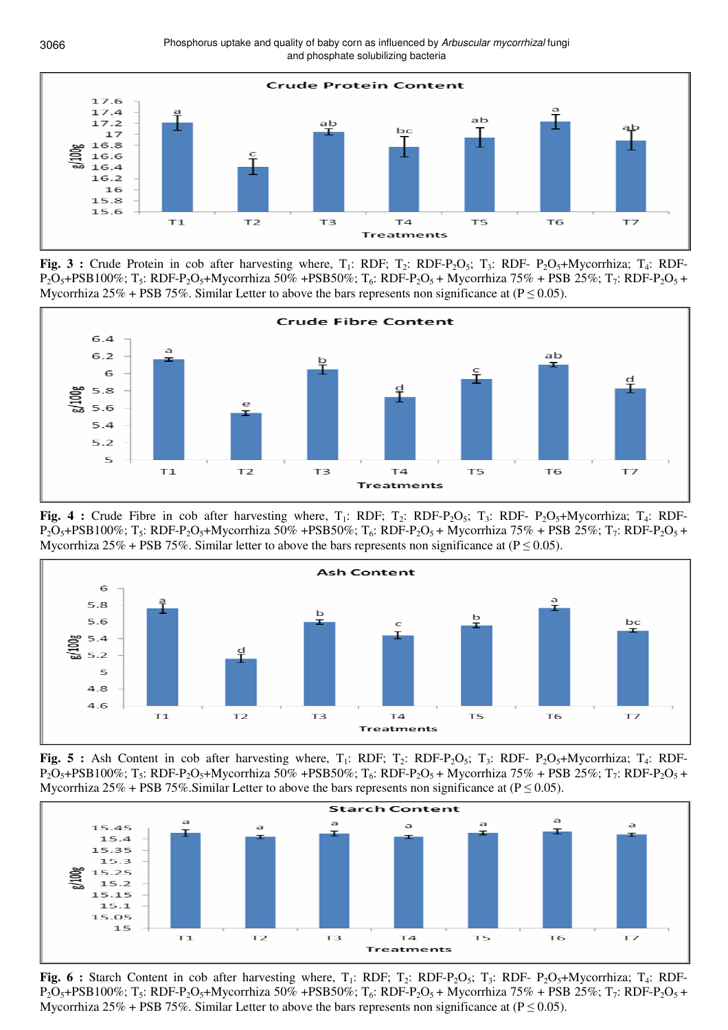Phosphorus uptake and quality of baby corn as influenced by Arbuscular mycorrhizal fungi and phosphate solubilizing bacteria



**Fig. 3 :** Crude Protein in cob after harvesting where, T<sub>1</sub>: RDF; T<sub>2</sub>: RDF-P<sub>2</sub>O<sub>5</sub>; T<sub>3</sub>: RDF-P<sub>2</sub>O<sub>5</sub>+Mycorrhiza; T<sub>4</sub>: RDF- $P_2O_5+PSB100\%$ ; T<sub>5</sub>: RDF-P<sub>2</sub>O<sub>5</sub>+Mycorrhiza 50% +PSB50%; T<sub>6</sub>: RDF-P<sub>2</sub>O<sub>5</sub> + Mycorrhiza 75% + PSB 25%; T<sub>7</sub>: RDF-P<sub>2</sub>O<sub>5</sub> + Mycorrhiza 25% + PSB 75%. Similar Letter to above the bars represents non significance at ( $P \le 0.05$ ).



**Fig. 4 :** Crude Fibre in cob after harvesting where,  $T_1$ : RDF;  $T_2$ : RDF-P<sub>2</sub>O<sub>5</sub>;  $T_3$ : RDF-P<sub>2</sub>O<sub>5</sub>+Mycorrhiza;  $T_4$ : RDF- $P_2O_5+PSB100\%$ ; T<sub>5</sub>: RDF-P<sub>2</sub>O<sub>5</sub>+Mycorrhiza 50% +PSB50%; T<sub>6</sub>: RDF-P<sub>2</sub>O<sub>5</sub> + Mycorrhiza 75% + PSB 25%; T<sub>7</sub>: RDF-P<sub>2</sub>O<sub>5</sub> + Mycorrhiza 25% + PSB 75%. Similar letter to above the bars represents non significance at ( $P \le 0.05$ ).



Fig. 5 : Ash Content in cob after harvesting where, T<sub>1</sub>: RDF; T<sub>2</sub>: RDF-P<sub>2</sub>O<sub>5</sub>; T<sub>3</sub>: RDF- P<sub>2</sub>O<sub>5</sub>+Mycorrhiza; T<sub>4</sub>: RDF- $P_2O_5+PSB100\%$ ; T<sub>5</sub>: RDF-P<sub>2</sub>O<sub>5</sub>+Mycorrhiza 50% +PSB50%; T<sub>6</sub>: RDF-P<sub>2</sub>O<sub>5</sub> + Mycorrhiza 75% + PSB 25%; T<sub>7</sub>: RDF-P<sub>2</sub>O<sub>5</sub> + Mycorrhiza 25% + PSB 75%. Similar Letter to above the bars represents non significance at ( $P \le 0.05$ ).



**Fig. 6 :** Starch Content in cob after harvesting where,  $T_1$ : RDF;  $T_2$ : RDF-P<sub>2</sub>O<sub>5</sub>; T<sub>3</sub>: RDF-P<sub>2</sub>O<sub>5</sub>+Mycorrhiza; T<sub>4</sub>: RDF- $P_2O_5+PSB100\%$ ; T<sub>5</sub>: RDF-P<sub>2</sub>O<sub>5</sub>+Mycorrhiza 50% +PSB50%; T<sub>6</sub>: RDF-P<sub>2</sub>O<sub>5</sub> + Mycorrhiza 75% + PSB 25%; T<sub>7</sub>: RDF-P<sub>2</sub>O<sub>5</sub> + Mycorrhiza 25% + PSB 75%. Similar Letter to above the bars represents non significance at ( $P \le 0.05$ ).

3066